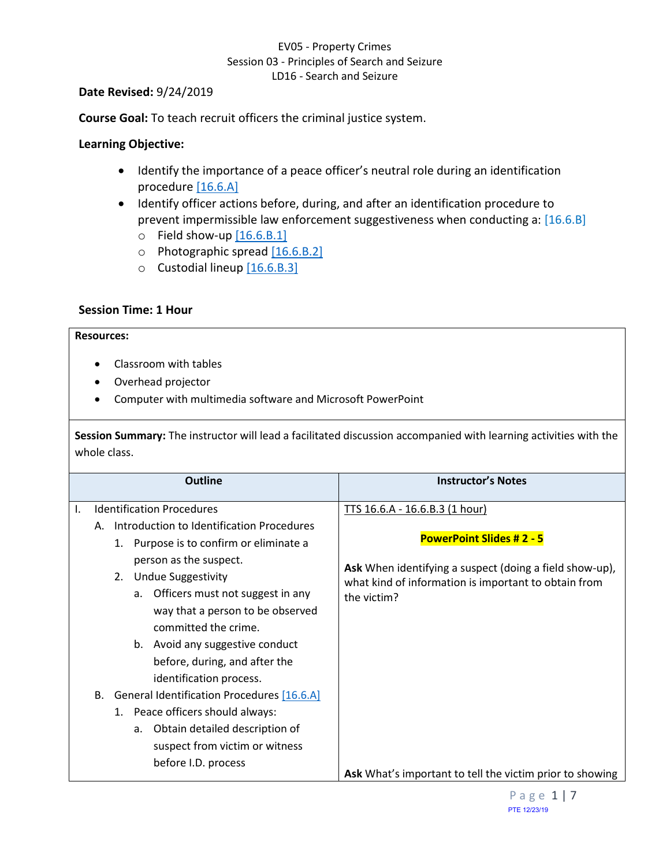### EV05 - Property Crimes Session 03 - Principles of Search and Seizure LD16 - Search and Seizure

#### **Date Revised:** 9/24/2019

**Course Goal:** To teach recruit officers the criminal justice system.

### **Learning Objective:**

- <span id="page-0-1"></span>• Identify the importance of a peace officer's neutral role during an identification procedure [\[16.6.A\]](#page-0-0)
- <span id="page-0-4"></span><span id="page-0-3"></span><span id="page-0-2"></span>• Identify officer actions before, during, and after an identification procedure to prevent impermissible law enforcement suggestiveness when conducting a: [16.6.B]
	- $\circ$  Field show-up  $[16.6.B.1]$
	- o Photographic spread [\[16.6.B.2\]](#page-3-0)
	- o Custodial lineup [\[16.6.B.3\]](#page-4-0)

### **Session Time: 1 Hour**

#### **Resources:**

- Classroom with tables
- Overhead projector
- Computer with multimedia software and Microsoft PowerPoint

**Session Summary:** The instructor will lead a facilitated discussion accompanied with learning activities with the whole class.

<span id="page-0-0"></span>

|    | <b>Outline</b>                                                                                                                                                                                                                                                            | <b>Instructor's Notes</b>                                                                                                                                                                           |
|----|---------------------------------------------------------------------------------------------------------------------------------------------------------------------------------------------------------------------------------------------------------------------------|-----------------------------------------------------------------------------------------------------------------------------------------------------------------------------------------------------|
| I. | <b>Identification Procedures</b><br>Introduction to Identification Procedures<br>А.<br>1. Purpose is to confirm or eliminate a<br>person as the suspect.<br><b>Undue Suggestivity</b><br>2.<br>Officers must not suggest in any<br>a.<br>way that a person to be observed | TTS 16.6.A - 16.6.B.3 (1 hour)<br><b>PowerPoint Slides #2 - 5</b><br>Ask When identifying a suspect (doing a field show-up),<br>what kind of information is important to obtain from<br>the victim? |
|    | committed the crime.<br>b. Avoid any suggestive conduct<br>before, during, and after the<br>identification process.                                                                                                                                                       |                                                                                                                                                                                                     |
|    | General Identification Procedures [16.6.A]<br>В.<br>1. Peace officers should always:                                                                                                                                                                                      |                                                                                                                                                                                                     |
|    | Obtain detailed description of<br>a.<br>suspect from victim or witness<br>before I.D. process                                                                                                                                                                             | Ask What's important to tell the victim prior to showing                                                                                                                                            |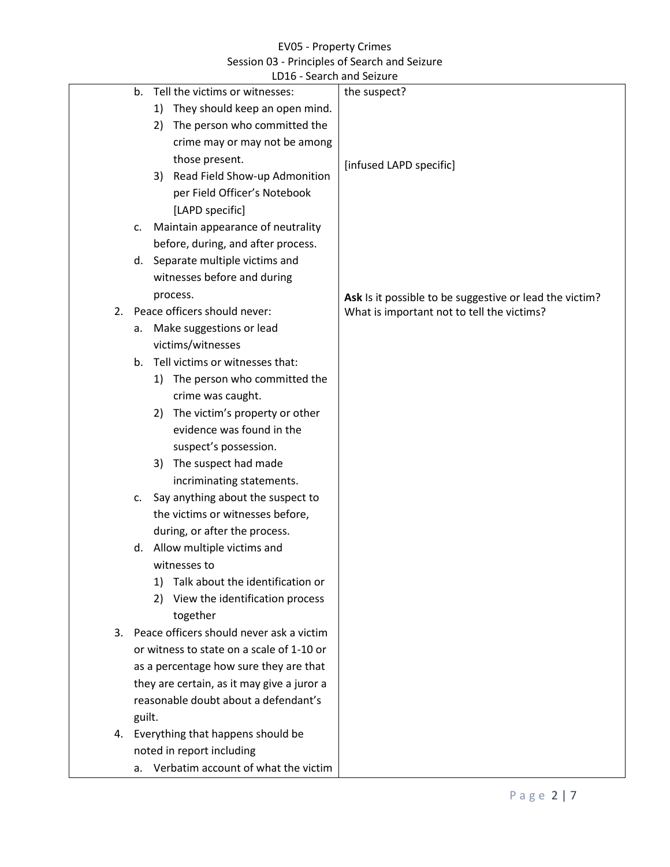|    |        |    | LD16 - Search and Seizure                  |                                                         |
|----|--------|----|--------------------------------------------|---------------------------------------------------------|
|    | b.     |    | Tell the victims or witnesses:             | the suspect?                                            |
|    |        | 1) | They should keep an open mind.             |                                                         |
|    |        | 2) | The person who committed the               |                                                         |
|    |        |    | crime may or may not be among              |                                                         |
|    |        |    | those present.                             | [infused LAPD specific]                                 |
|    |        | 3) | Read Field Show-up Admonition              |                                                         |
|    |        |    | per Field Officer's Notebook               |                                                         |
|    |        |    | [LAPD specific]                            |                                                         |
|    | c.     |    | Maintain appearance of neutrality          |                                                         |
|    |        |    | before, during, and after process.         |                                                         |
|    | d.     |    | Separate multiple victims and              |                                                         |
|    |        |    | witnesses before and during                |                                                         |
|    |        |    | process.                                   | Ask Is it possible to be suggestive or lead the victim? |
| 2. |        |    | Peace officers should never:               | What is important not to tell the victims?              |
|    | а.     |    | Make suggestions or lead                   |                                                         |
|    |        |    | victims/witnesses                          |                                                         |
|    | b.     |    | Tell victims or witnesses that:            |                                                         |
|    |        |    | 1) The person who committed the            |                                                         |
|    |        |    | crime was caught.                          |                                                         |
|    |        | 2) | The victim's property or other             |                                                         |
|    |        |    | evidence was found in the                  |                                                         |
|    |        |    | suspect's possession.                      |                                                         |
|    |        | 3) | The suspect had made                       |                                                         |
|    |        |    | incriminating statements.                  |                                                         |
|    | C.     |    | Say anything about the suspect to          |                                                         |
|    |        |    | the victims or witnesses before,           |                                                         |
|    |        |    | during, or after the process.              |                                                         |
|    |        |    | d. Allow multiple victims and              |                                                         |
|    |        |    | witnesses to                               |                                                         |
|    |        | 1) | Talk about the identification or           |                                                         |
|    |        | 2) | View the identification process            |                                                         |
|    |        |    | together                                   |                                                         |
| 3. |        |    | Peace officers should never ask a victim   |                                                         |
|    |        |    | or witness to state on a scale of 1-10 or  |                                                         |
|    |        |    | as a percentage how sure they are that     |                                                         |
|    |        |    | they are certain, as it may give a juror a |                                                         |
|    |        |    | reasonable doubt about a defendant's       |                                                         |
|    | guilt. |    |                                            |                                                         |
|    |        |    | 4. Everything that happens should be       |                                                         |
|    |        |    | noted in report including                  |                                                         |
|    |        |    | a. Verbatim account of what the victim     |                                                         |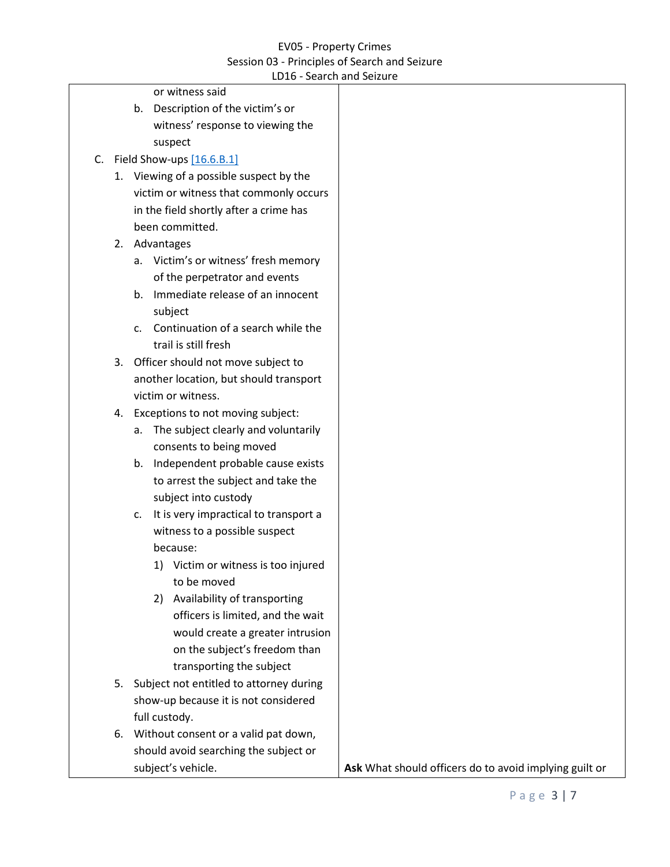<span id="page-2-0"></span>

| LD16 - Search and Seizure                            |                                                        |
|------------------------------------------------------|--------------------------------------------------------|
| or witness said                                      |                                                        |
| b. Description of the victim's or                    |                                                        |
| witness' response to viewing the                     |                                                        |
| suspect                                              |                                                        |
| Field Show-ups $[16.6.B.1]$<br>C.                    |                                                        |
| 1. Viewing of a possible suspect by the              |                                                        |
| victim or witness that commonly occurs               |                                                        |
| in the field shortly after a crime has               |                                                        |
| been committed.                                      |                                                        |
| Advantages<br>2.                                     |                                                        |
| a. Victim's or witness' fresh memory                 |                                                        |
| of the perpetrator and events                        |                                                        |
| Immediate release of an innocent<br>b.               |                                                        |
| subject                                              |                                                        |
| Continuation of a search while the<br>$\mathsf{C}$ . |                                                        |
| trail is still fresh                                 |                                                        |
| 3. Officer should not move subject to                |                                                        |
| another location, but should transport               |                                                        |
| victim or witness.                                   |                                                        |
| Exceptions to not moving subject:<br>4.              |                                                        |
| The subject clearly and voluntarily<br>а.            |                                                        |
| consents to being moved                              |                                                        |
| b. Independent probable cause exists                 |                                                        |
| to arrest the subject and take the                   |                                                        |
| subject into custody                                 |                                                        |
| It is very impractical to transport a<br>c.          |                                                        |
| witness to a possible suspect                        |                                                        |
| because:                                             |                                                        |
| 1) Victim or witness is too injured                  |                                                        |
| to be moved                                          |                                                        |
| Availability of transporting<br>2)                   |                                                        |
| officers is limited, and the wait                    |                                                        |
| would create a greater intrusion                     |                                                        |
| on the subject's freedom than                        |                                                        |
|                                                      |                                                        |
| transporting the subject                             |                                                        |
| 5. Subject not entitled to attorney during           |                                                        |
| show-up because it is not considered                 |                                                        |
| full custody.                                        |                                                        |
| 6. Without consent or a valid pat down,              |                                                        |
| should avoid searching the subject or                |                                                        |
| subject's vehicle.                                   | Ask What should officers do to avoid implying guilt or |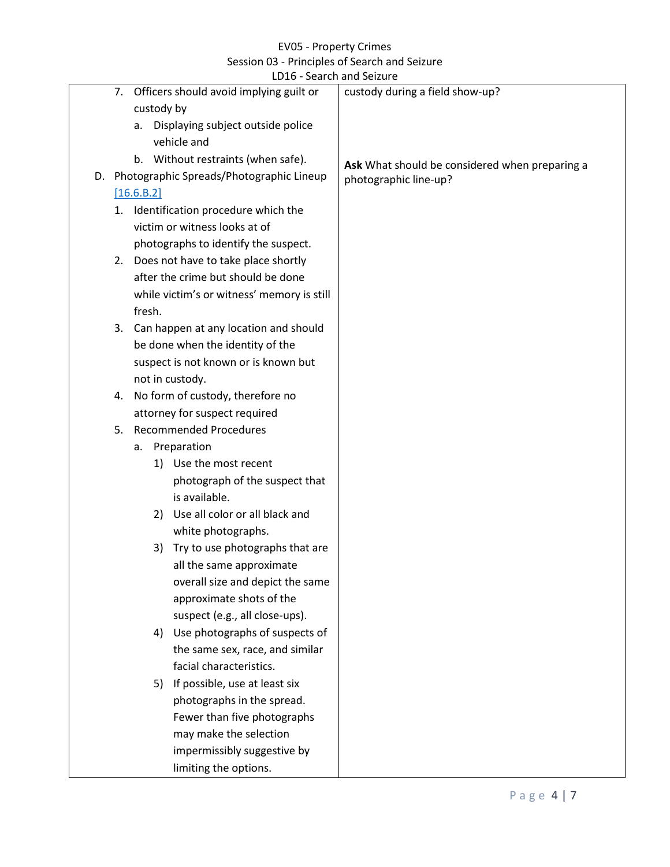<span id="page-3-0"></span>

|                                        |                               | LD16 - Search and Seizure                   |                                                |
|----------------------------------------|-------------------------------|---------------------------------------------|------------------------------------------------|
| 7.                                     |                               | Officers should avoid implying guilt or     | custody during a field show-up?                |
|                                        |                               | custody by                                  |                                                |
|                                        | a.                            | Displaying subject outside police           |                                                |
|                                        |                               | vehicle and                                 |                                                |
|                                        |                               | b. Without restraints (when safe).          | Ask What should be considered when preparing a |
|                                        |                               | D. Photographic Spreads/Photographic Lineup | photographic line-up?                          |
|                                        | [16.6.B.2]                    |                                             |                                                |
| 1.                                     |                               | Identification procedure which the          |                                                |
|                                        |                               | victim or witness looks at of               |                                                |
|                                        |                               | photographs to identify the suspect.        |                                                |
| 2.                                     |                               | Does not have to take place shortly         |                                                |
| after the crime but should be done     |                               |                                             |                                                |
|                                        |                               | while victim's or witness' memory is still  |                                                |
|                                        | fresh.                        |                                             |                                                |
| 3.                                     |                               | Can happen at any location and should       |                                                |
|                                        |                               | be done when the identity of the            |                                                |
|                                        |                               | suspect is not known or is known but        |                                                |
|                                        |                               | not in custody.                             |                                                |
| No form of custody, therefore no<br>4. |                               |                                             |                                                |
| attorney for suspect required          |                               |                                             |                                                |
| 5.                                     | <b>Recommended Procedures</b> |                                             |                                                |
|                                        | а.                            | Preparation                                 |                                                |
|                                        |                               | 1) Use the most recent                      |                                                |
|                                        |                               | photograph of the suspect that              |                                                |
|                                        |                               | is available.                               |                                                |
|                                        |                               | Use all color or all black and<br>2)        |                                                |
|                                        |                               | white photographs.                          |                                                |
|                                        |                               | Try to use photographs that are<br>3)       |                                                |
|                                        |                               | all the same approximate                    |                                                |
|                                        |                               | overall size and depict the same            |                                                |
|                                        |                               | approximate shots of the                    |                                                |
|                                        |                               | suspect (e.g., all close-ups).              |                                                |
|                                        |                               | Use photographs of suspects of<br>4)        |                                                |
|                                        |                               | the same sex, race, and similar             |                                                |
|                                        |                               | facial characteristics.                     |                                                |
|                                        |                               | 5) If possible, use at least six            |                                                |
|                                        |                               | photographs in the spread.                  |                                                |
|                                        |                               | Fewer than five photographs                 |                                                |
|                                        |                               | may make the selection                      |                                                |
|                                        |                               | impermissibly suggestive by                 |                                                |
|                                        |                               | limiting the options.                       |                                                |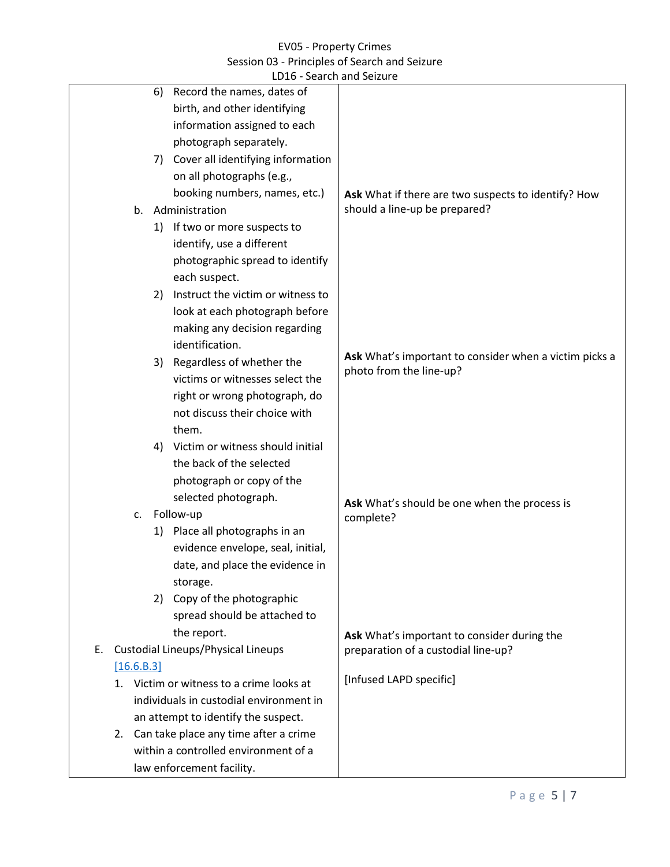<span id="page-4-0"></span>

|                                                 | LD16 - Search and Seizure                              |
|-------------------------------------------------|--------------------------------------------------------|
| Record the names, dates of<br>6)                |                                                        |
| birth, and other identifying                    |                                                        |
| information assigned to each                    |                                                        |
| photograph separately.                          |                                                        |
| Cover all identifying information<br>7)         |                                                        |
| on all photographs (e.g.,                       |                                                        |
| booking numbers, names, etc.)                   | Ask What if there are two suspects to identify? How    |
| Administration<br>b.                            | should a line-up be prepared?                          |
| 1) If two or more suspects to                   |                                                        |
| identify, use a different                       |                                                        |
| photographic spread to identify                 |                                                        |
| each suspect.                                   |                                                        |
| Instruct the victim or witness to<br>2)         |                                                        |
| look at each photograph before                  |                                                        |
| making any decision regarding                   |                                                        |
| identification.                                 |                                                        |
| Regardless of whether the<br>3)                 | Ask What's important to consider when a victim picks a |
| victims or witnesses select the                 | photo from the line-up?                                |
| right or wrong photograph, do                   |                                                        |
| not discuss their choice with                   |                                                        |
| them.                                           |                                                        |
| Victim or witness should initial<br>4)          |                                                        |
| the back of the selected                        |                                                        |
| photograph or copy of the                       |                                                        |
| selected photograph.                            | Ask What's should be one when the process is           |
| Follow-up<br>c.                                 | complete?                                              |
| 1) Place all photographs in an                  |                                                        |
| evidence envelope, seal, initial,               |                                                        |
| date, and place the evidence in                 |                                                        |
| storage.                                        |                                                        |
| 2) Copy of the photographic                     |                                                        |
| spread should be attached to                    |                                                        |
| the report.                                     | Ask What's important to consider during the            |
| <b>Custodial Lineups/Physical Lineups</b><br>Е. | preparation of a custodial line-up?                    |
| [16.6.B.3]                                      |                                                        |
| 1. Victim or witness to a crime looks at        | [Infused LAPD specific]                                |
| individuals in custodial environment in         |                                                        |
| an attempt to identify the suspect.             |                                                        |
| 2. Can take place any time after a crime        |                                                        |
| within a controlled environment of a            |                                                        |
| law enforcement facility.                       |                                                        |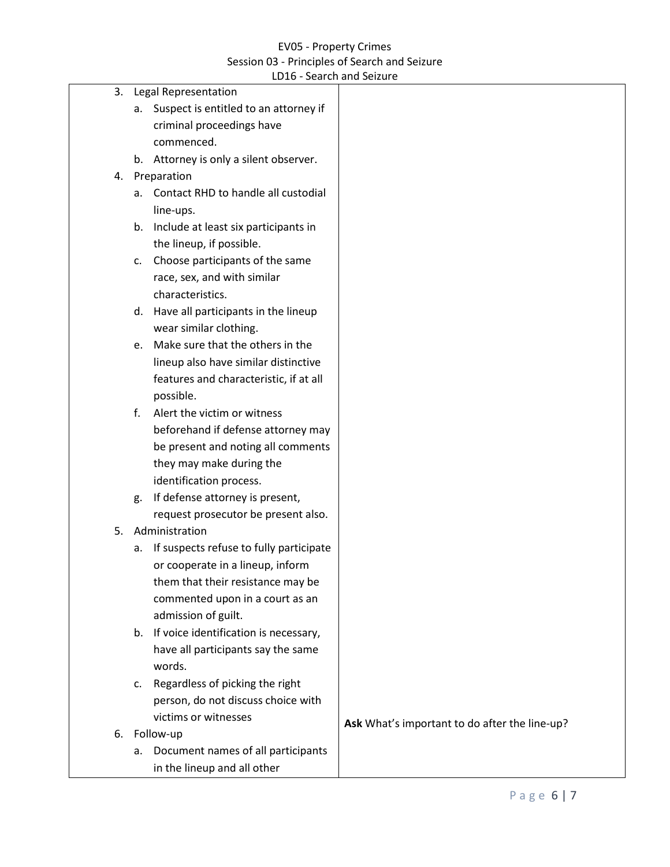|    |             | LD16 - Search and Seizure                |                                               |
|----|-------------|------------------------------------------|-----------------------------------------------|
| 3. |             | <b>Legal Representation</b>              |                                               |
|    |             | a. Suspect is entitled to an attorney if |                                               |
|    |             | criminal proceedings have                |                                               |
|    |             | commenced.                               |                                               |
|    |             | b. Attorney is only a silent observer.   |                                               |
| 4. |             | Preparation                              |                                               |
|    | a.          | Contact RHD to handle all custodial      |                                               |
|    |             | line-ups.                                |                                               |
|    | b.          | Include at least six participants in     |                                               |
|    |             | the lineup, if possible.                 |                                               |
|    | c.          | Choose participants of the same          |                                               |
|    |             | race, sex, and with similar              |                                               |
|    |             | characteristics.                         |                                               |
|    | d.          | Have all participants in the lineup      |                                               |
|    |             | wear similar clothing.                   |                                               |
|    | e.          | Make sure that the others in the         |                                               |
|    |             | lineup also have similar distinctive     |                                               |
|    |             | features and characteristic, if at all   |                                               |
|    |             | possible.                                |                                               |
|    | $f_{\cdot}$ | Alert the victim or witness              |                                               |
|    |             | beforehand if defense attorney may       |                                               |
|    |             | be present and noting all comments       |                                               |
|    |             | they may make during the                 |                                               |
|    |             | identification process.                  |                                               |
|    | g.          | If defense attorney is present,          |                                               |
|    |             | request prosecutor be present also.      |                                               |
| 5. |             | Administration                           |                                               |
|    | a.          | If suspects refuse to fully participate  |                                               |
|    |             | or cooperate in a lineup, inform         |                                               |
|    |             | them that their resistance may be        |                                               |
|    |             | commented upon in a court as an          |                                               |
|    |             | admission of guilt.                      |                                               |
|    |             | b. If voice identification is necessary, |                                               |
|    |             | have all participants say the same       |                                               |
|    |             | words.                                   |                                               |
|    | C.          | Regardless of picking the right          |                                               |
|    |             | person, do not discuss choice with       |                                               |
|    |             | victims or witnesses                     | Ask What's important to do after the line-up? |
| 6. | Follow-up   |                                          |                                               |
|    | а.          | Document names of all participants       |                                               |
|    |             | in the lineup and all other              |                                               |